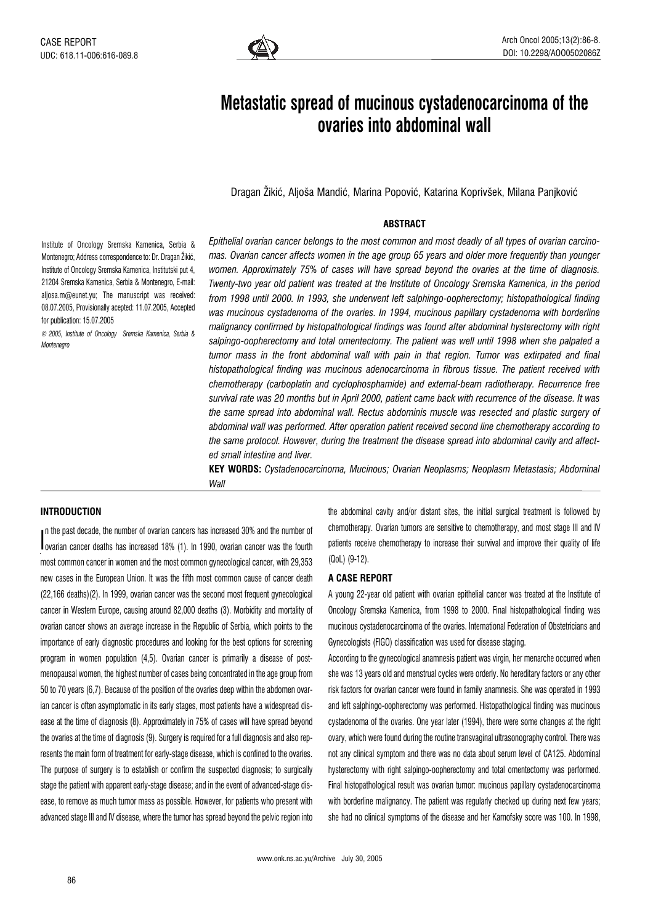

# Metastatic spread of mucinous cystadenocarcinoma of the ovaries into abdominal wall

Dragan Žikić, Aljoša Mandić, Marina Popović, Katarina Koprivšek, Milana Paniković

# **ABSTRACT**

Institute of Oncology Sremska Kamenica, Serbia & Montenegro; Address correspondence to: Dr. Dragan Žikić, Institute of Oncology Sremska Kamenica, Institutski put 4, 21204 Sremska Kamenica, Serbia & Montenegro, E-mail: aljosa.m@eunet.yu; The manuscript was received: 08.07.2005, Provisionally acepted: 11.07.2005, Accepted for publication: 15.07.2005

© 2005, Institute of Oncology Sremska Kamenica, Serbia & Montenegro

Epithelial ovarian cancer belongs to the most common and most deadly of all types of ovarian carcinomas. Ovarian cancer affects women in the age group 65 years and older more frequently than younger women. Approximately 75% of cases will have spread beyond the ovaries at the time of diagnosis. Twenty-two year old patient was treated at the Institute of Oncology Sremska Kamenica, in the period from 1998 until 2000. In 1993, she underwent left salphingo-oopherectomy; histopathological finding was mucinous cystadenoma of the ovaries. In 1994, mucinous papillary cystadenoma with borderline malignancy confirmed by histopathological findings was found after abdominal hysterectomy with right salpingo-oopherectomy and total omentectomy. The patient was well until 1998 when she palpated a tumor mass in the front abdominal wall with pain in that region. Tumor was extirpated and final histopathological finding was mucinous adenocarcinoma in fibrous tissue. The patient received with chemotherapy (carboplatin and cyclophosphamide) and external-beam radiotherapy. Recurrence free survival rate was 20 months but in April 2000, patient came back with recurrence of the disease. It was the same spread into abdominal wall. Rectus abdominis muscle was resected and plastic surgery of abdominal wall was performed. After operation patient received second line chemotherapy according to the same protocol. However, during the treatment the disease spread into abdominal cavity and affected small intestine and liver.

KEY WORDS: Cystadenocarcinoma, Mucinous; Ovarian Neoplasms; Neoplasm Metastasis; Abdominal Wall

## INTRODUCTION

I ovarian cancer deaths has increased 18% (1). In 1990, ovarian cancer was the fourth n the past decade, the number of ovarian cancers has increased 30% and the number of most common cancer in women and the most common gynecological cancer, with 29,353 new cases in the European Union. It was the fifth most common cause of cancer death (22,166 deaths)(2). In 1999, ovarian cancer was the second most frequent gynecological cancer in Western Europe, causing around 82,000 deaths (3). Morbidity and mortality of ovarian cancer shows an average increase in the Republic of Serbia, which points to the importance of early diagnostic procedures and looking for the best options for screening program in women population (4,5). Ovarian cancer is primarily a disease of postmenopausal women, the highest number of cases being concentrated in the age group from 50 to 70 years (6,7). Because of the position of the ovaries deep within the abdomen ovarian cancer is often asymptomatic in its early stages, most patients have a widespread disease at the time of diagnosis (8). Approximately in 75% of cases will have spread beyond the ovaries at the time of diagnosis (9). Surgery is required for a full diagnosis and also represents the main form of treatment for early-stage disease, which is confined to the ovaries. The purpose of surgery is to establish or confirm the suspected diagnosis; to surgically stage the patient with apparent early-stage disease; and in the event of advanced-stage disease, to remove as much tumor mass as possible. However, for patients who present with advanced stage III and IV disease, where the tumor has spread beyond the pelvic region into

the abdominal cavity and/or distant sites, the initial surgical treatment is followed by chemotherapy. Ovarian tumors are sensitive to chemotherapy, and most stage III and IV patients receive chemotherapy to increase their survival and improve their quality of life (QoL) (9-12).

## A CASE REPORT

A young 22-year old patient with ovarian epithelial cancer was treated at the Institute of Oncology Sremska Kamenica, from 1998 to 2000. Final histopathological finding was mucinous cystadenocarcinoma of the ovaries. International Federation of Obstetricians and Gynecologists (FIGO) classification was used for disease staging.

According to the gynecological anamnesis patient was virgin, her menarche occurred when she was 13 years old and menstrual cycles were orderly. No hereditary factors or any other risk factors for ovarian cancer were found in family anamnesis. She was operated in 1993 and left salphingo-oopherectomy was performed. Histopathological finding was mucinous cystadenoma of the ovaries. One year later (1994), there were some changes at the right ovary, which were found during the routine transvaginal ultrasonography control. There was not any clinical symptom and there was no data about serum level of CA125. Abdominal hysterectomy with right salpingo-oopherectomy and total omentectomy was performed. Final histopathological result was ovarian tumor: mucinous papillary cystadenocarcinoma with borderline malignancy. The patient was regularly checked up during next few years: she had no clinical symptoms of the disease and her Karnofsky score was 100. In 1998,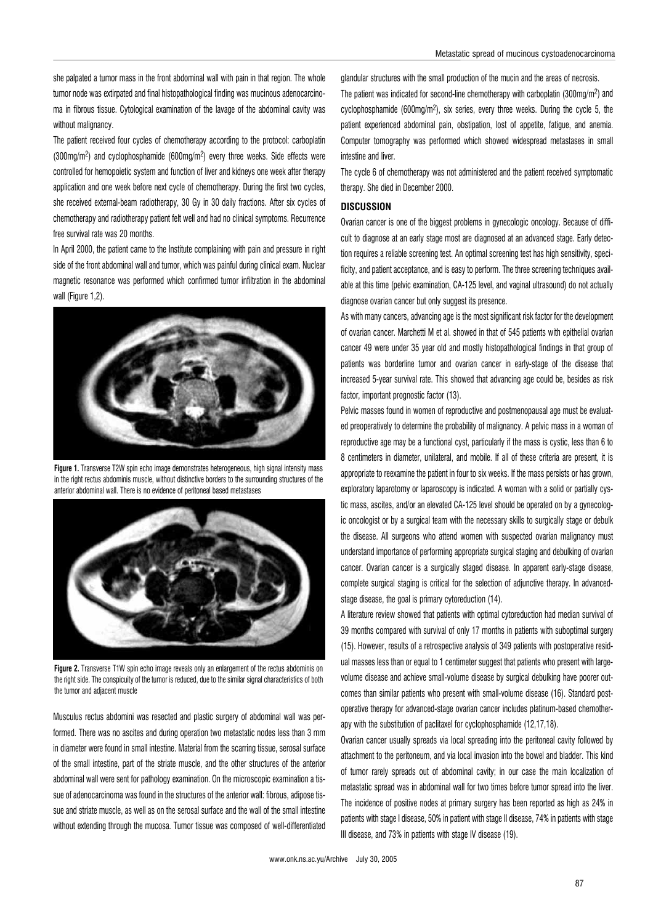she palpated a tumor mass in the front abdominal wall with pain in that region. The whole tumor node was extirpated and final histopathological finding was mucinous adenocarcinoma in fibrous tissue. Cytological examination of the lavage of the abdominal cavity was without malignancy.

The patient received four cycles of chemotherapy according to the protocol: carboplatin (300mg/m2) and cyclophosphamide (600mg/m2) every three weeks. Side effects were controlled for hemopoietic system and function of liver and kidneys one week after therapy application and one week before next cycle of chemotherapy. During the first two cycles, she received external-beam radiotherapy, 30 Gy in 30 daily fractions. After six cycles of chemotherapy and radiotherapy patient felt well and had no clinical symptoms. Recurrence free survival rate was 20 months.

In April 2000, the patient came to the Institute complaining with pain and pressure in right side of the front abdominal wall and tumor, which was painful during clinical exam. Nuclear magnetic resonance was performed which confirmed tumor infiltration in the abdominal wall (Figure 1.2).



Figure 1. Transverse T2W spin echo image demonstrates heterogeneous, high signal intensity mass in the right rectus abdominis muscle, without distinctive borders to the surrounding structures of the anterior abdominal wall. There is no evidence of peritoneal based metastases



Figure 2. Transverse T1W spin echo image reveals only an enlargement of the rectus abdominis on the right side. The conspicuity of the tumor is reduced, due to the similar signal characteristics of both the tumor and adjacent muscle

Musculus rectus abdomini was resected and plastic surgery of abdominal wall was performed. There was no ascites and during operation two metastatic nodes less than 3 mm in diameter were found in small intestine. Material from the scarring tissue, serosal surface of the small intestine, part of the striate muscle, and the other structures of the anterior abdominal wall were sent for pathology examination. On the microscopic examination a tissue of adenocarcinoma was found in the structures of the anterior wall: fibrous, adipose tissue and striate muscle, as well as on the serosal surface and the wall of the small intestine without extending through the mucosa. Tumor tissue was composed of well-differentiated glandular structures with the small production of the mucin and the areas of necrosis. The patient was indicated for second-line chemotherapy with carboplatin (300mg/m2) and cyclophosphamide (600mg/m2), six series, every three weeks. During the cycle 5, the patient experienced abdominal pain, obstipation, lost of appetite, fatigue, and anemia. Computer tomography was performed which showed widespread metastases in small intestine and liver.

The cycle 6 of chemotherapy was not administered and the patient received symptomatic therapy. She died in December 2000.

#### **DISCUSSION**

Ovarian cancer is one of the biggest problems in gynecologic oncology. Because of difficult to diagnose at an early stage most are diagnosed at an advanced stage. Early detection requires a reliable screening test. An optimal screening test has high sensitivity, specificity, and patient acceptance, and is easy to perform. The three screening techniques available at this time (pelvic examination, CA-125 level, and vaginal ultrasound) do not actually diagnose ovarian cancer but only suggest its presence.

As with many cancers, advancing age is the most significant risk factor for the development of ovarian cancer. Marchetti M et al. showed in that of 545 patients with epithelial ovarian cancer 49 were under 35 year old and mostly histopathological findings in that group of patients was borderline tumor and ovarian cancer in early-stage of the disease that increased 5-year survival rate. This showed that advancing age could be, besides as risk factor, important prognostic factor (13).

Pelvic masses found in women of reproductive and postmenopausal age must be evaluated preoperatively to determine the probability of malignancy. A pelvic mass in a woman of reproductive age may be a functional cyst, particularly if the mass is cystic, less than 6 to 8 centimeters in diameter, unilateral, and mobile. If all of these criteria are present, it is appropriate to reexamine the patient in four to six weeks. If the mass persists or has grown, exploratory laparotomy or laparoscopy is indicated. A woman with a solid or partially cystic mass, ascites, and/or an elevated CA-125 level should be operated on by a gynecologic oncologist or by a surgical team with the necessary skills to surgically stage or debulk the disease. All surgeons who attend women with suspected ovarian malignancy must understand importance of performing appropriate surgical staging and debulking of ovarian cancer. Ovarian cancer is a surgically staged disease. In apparent early-stage disease, complete surgical staging is critical for the selection of adjunctive therapy. In advancedstage disease, the goal is primary cytoreduction (14).

A literature review showed that patients with optimal cytoreduction had median survival of 39 months compared with survival of only 17 months in patients with suboptimal surgery (15). However, results of a retrospective analysis of 349 patients with postoperative residual masses less than or equal to 1 centimeter suggest that patients who present with largevolume disease and achieve small-volume disease by surgical debulking have poorer outcomes than similar patients who present with small-volume disease (16). Standard postoperative therapy for advanced-stage ovarian cancer includes platinum-based chemotherapy with the substitution of paclitaxel for cyclophosphamide (12,17,18).

Ovarian cancer usually spreads via local spreading into the peritoneal cavity followed by attachment to the peritoneum, and via local invasion into the bowel and bladder. This kind of tumor rarely spreads out of abdominal cavity; in our case the main localization of metastatic spread was in abdominal wall for two times before tumor spread into the liver. The incidence of positive nodes at primary surgery has been reported as high as 24% in patients with stage I disease, 50% in patient with stage II disease, 74% in patients with stage III disease, and 73% in patients with stage IV disease (19).